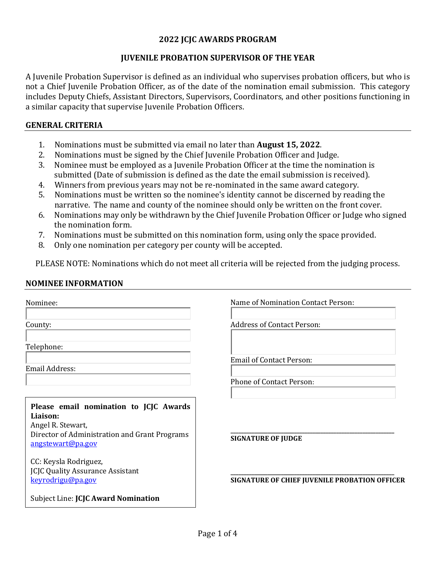#### **2022 JCJC AWARDS PROGRAM**

#### **JUVENILE PROBATION SUPERVISOR OF THE YEAR**

A Juvenile Probation Supervisor is defined as an individual who supervises probation officers, but who is not a Chief Juvenile Probation Officer, as of the date of the nomination email submission. This category includes Deputy Chiefs, Assistant Directors, Supervisors, Coordinators, and other positions functioning in a similar capacity that supervise Juvenile Probation Officers.

#### **GENERAL CRITERIA**

- 1. Nominations must be submitted via email no later than **August 15, 2022**.
- 2. Nominations must be signed by the Chief Juvenile Probation Officer and Judge.<br>3. Nominee must be emploved as a Iuvenile Probation Officer at the time the nom
- 3. Nominee must be employed as a Juvenile Probation Officer at the time the nomination is submitted (Date of submission is defined as the date the email submission is received).
- 4. Winners from previous years may not be re-nominated in the same award category.<br>5. Nominations must be written so the nominee's identity cannot be discerned by read
- 5. Nominations must be written so the nominee's identity cannot be discerned by reading the narrative. The name and county of the nominee should only be written on the front cover.
- 6. Nominations may only be withdrawn by the Chief Juvenile Probation Officer or Judge who signed the nomination form.
- 7. Nominations must be submitted on this nomination form, using only the space provided.<br>8. Only one nomination per category per county will be accepted.
- Only one nomination per category per county will be accepted.

PLEASE NOTE: Nominations which do not meet all criteria will be rejected from the judging process.

#### **NOMINEE INFORMATION**

| Nominee:                                                                                                                                      | Name of Nomination Contact Person:            |  |
|-----------------------------------------------------------------------------------------------------------------------------------------------|-----------------------------------------------|--|
| County:                                                                                                                                       | <b>Address of Contact Person:</b>             |  |
| Telephone:                                                                                                                                    |                                               |  |
| Email Address:                                                                                                                                | <b>Email of Contact Person:</b>               |  |
|                                                                                                                                               | <b>Phone of Contact Person:</b>               |  |
| Please email nomination to JCJC Awards<br>Liaison:<br>Angel R. Stewart,<br>Director of Administration and Grant Programs<br>angstewart@pa.gov | <b>SIGNATURE OF JUDGE</b>                     |  |
| CC: Keysla Rodriguez,<br><b>JCJC Quality Assurance Assistant</b><br>keyrodrigu@pa.gov                                                         | SIGNATURE OF CHIEF JUVENILE PROBATION OFFICER |  |
| Subject Line: <b>JCJC Award Nomination</b>                                                                                                    |                                               |  |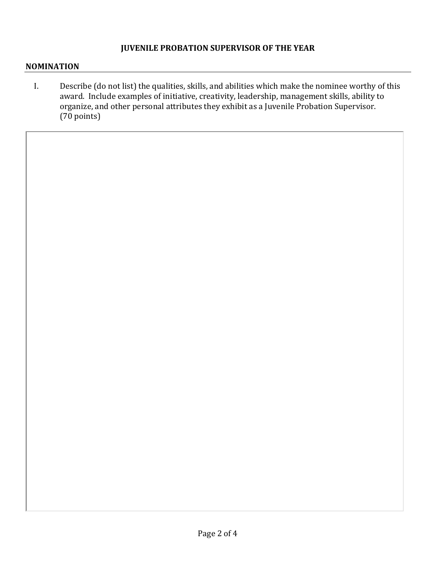## **JUVENILE PROBATION SUPERVISOR OF THE YEAR**

#### **NOMINATION**

I. Describe (do not list) the qualities, skills, and abilities which make the nominee worthy of this award. Include examples of initiative, creativity, leadership, management skills, ability to organize, and other personal attributes they exhibit as a Juvenile Probation Supervisor. (70 points)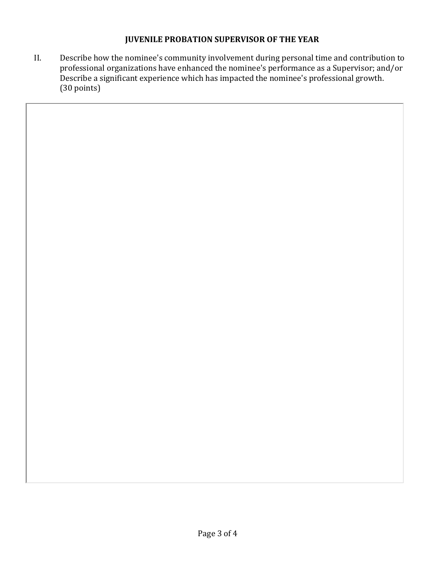## **JUVENILE PROBATION SUPERVISOR OF THE YEAR**

II. Describe how the nominee's community involvement during personal time and contribution to professional organizations have enhanced the nominee's performance as a Supervisor; and/or Describe a significant experience which has impacted the nominee's professional growth. (30 points)